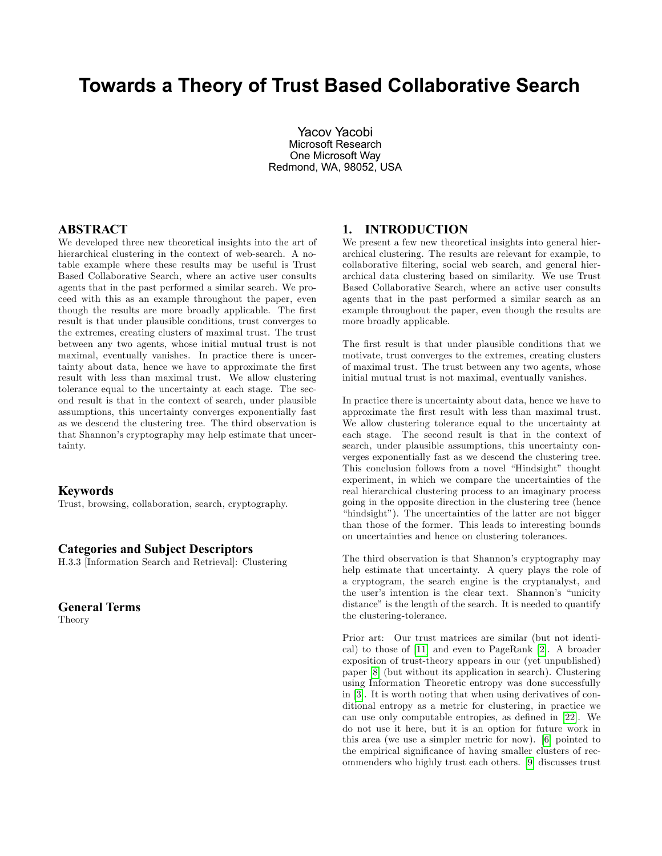# Towards a Theory of Trust Based Collaborative Search

Yacov Yacobi Microsoft Research One Microsoft Way Redmond, WA, 98052, USA

# ABSTRACT

We developed three new theoretical insights into the art of hierarchical clustering in the context of web-search. A notable example where these results may be useful is Trust Based Collaborative Search, where an active user consults agents that in the past performed a similar search. We proceed with this as an example throughout the paper, even though the results are more broadly applicable. The first result is that under plausible conditions, trust converges to the extremes, creating clusters of maximal trust. The trust between any two agents, whose initial mutual trust is not maximal, eventually vanishes. In practice there is uncertainty about data, hence we have to approximate the first result with less than maximal trust. We allow clustering tolerance equal to the uncertainty at each stage. The second result is that in the context of search, under plausible assumptions, this uncertainty converges exponentially fast as we descend the clustering tree. The third observation is that Shannon's cryptography may help estimate that uncertainty.

### Keywords

Trust, browsing, collaboration, search, cryptography.

#### Categories and Subject Descriptors

H.3.3 [Information Search and Retrieval]: Clustering

# General Terms

Theory

# 1. INTRODUCTION

We present a few new theoretical insights into general hierarchical clustering. The results are relevant for example, to collaborative filtering, social web search, and general hierarchical data clustering based on similarity. We use Trust Based Collaborative Search, where an active user consults agents that in the past performed a similar search as an example throughout the paper, even though the results are more broadly applicable.

The first result is that under plausible conditions that we motivate, trust converges to the extremes, creating clusters of maximal trust. The trust between any two agents, whose initial mutual trust is not maximal, eventually vanishes.

In practice there is uncertainty about data, hence we have to approximate the Örst result with less than maximal trust. We allow clustering tolerance equal to the uncertainty at each stage. The second result is that in the context of search, under plausible assumptions, this uncertainty converges exponentially fast as we descend the clustering tree. This conclusion follows from a novel "Hindsight" thought experiment, in which we compare the uncertainties of the real hierarchical clustering process to an imaginary process going in the opposite direction in the clustering tree (hence "hindsight"). The uncertainties of the latter are not bigger than those of the former. This leads to interesting bounds on uncertainties and hence on clustering tolerances.

The third observation is that Shannon's cryptography may help estimate that uncertainty. A query plays the role of a cryptogram, the search engine is the cryptanalyst, and the user's intention is the clear text. Shannon's "unicity" distance" is the length of the search. It is needed to quantify the clustering-tolerance.

Prior art: Our trust matrices are similar (but not identical) to those of [\[11\]](#page-5-0) and even to PageRank [\[2\]](#page-4-0). A broader exposition of trust-theory appears in our (yet unpublished) paper [\[8\]](#page-4-1) (but without its application in search). Clustering using Information Theoretic entropy was done successfully in [\[3\]](#page-4-2). It is worth noting that when using derivatives of conditional entropy as a metric for clustering, in practice we can use only computable entropies, as defined in [\[22\]](#page-5-1). We do not use it here, but it is an option for future work in this area (we use a simpler metric for now). [\[6\]](#page-4-3) pointed to the empirical significance of having smaller clusters of recommenders who highly trust each others. [\[9\]](#page-4-4) discusses trust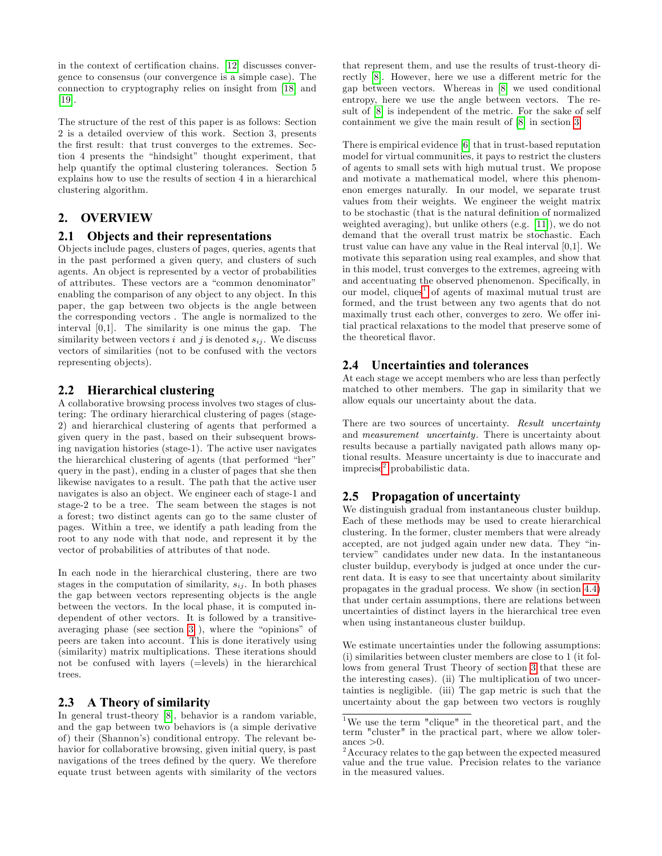in the context of certification chains. [\[12\]](#page-5-2) discusses convergence to consensus (our convergence is a simple case). The connection to cryptography relies on insight from [\[18\]](#page-5-3) and [\[19\]](#page-5-4).

The structure of the rest of this paper is as follows: Section 2 is a detailed overview of this work. Section 3, presents the first result: that trust converges to the extremes. Section 4 presents the "hindsight" thought experiment, that help quantify the optimal clustering tolerances. Section 5 explains how to use the results of section 4 in a hierarchical clustering algorithm.

# 2. OVERVIEW

#### 2.1 Objects and their representations

Objects include pages, clusters of pages, queries, agents that in the past performed a given query, and clusters of such agents. An object is represented by a vector of probabilities of attributes. These vectors are a "common denominator" enabling the comparison of any object to any object. In this paper, the gap between two objects is the angle between the corresponding vectors . The angle is normalized to the interval [0,1]. The similarity is one minus the gap. The similarity between vectors i and j is denoted  $s_{ij}$ . We discuss vectors of similarities (not to be confused with the vectors representing objects).

#### 2.2 Hierarchical clustering

A collaborative browsing process involves two stages of clustering: The ordinary hierarchical clustering of pages (stage-2) and hierarchical clustering of agents that performed a given query in the past, based on their subsequent browsing navigation histories (stage-1). The active user navigates the hierarchical clustering of agents (that performed "her" query in the past), ending in a cluster of pages that she then likewise navigates to a result. The path that the active user navigates is also an object. We engineer each of stage-1 and stage-2 to be a tree. The seam between the stages is not a forest; two distinct agents can go to the same cluster of pages. Within a tree, we identify a path leading from the root to any node with that node, and represent it by the vector of probabilities of attributes of that node.

In each node in the hierarchical clustering, there are two stages in the computation of similarity,  $s_{ij}$ . In both phases the gap between vectors representing objects is the angle between the vectors. In the local phase, it is computed independent of other vectors. It is followed by a transitiveaveraging phase (see section  $3$ ), where the "opinions" of peers are taken into account. This is done iteratively using (similarity) matrix multiplications. These iterations should not be confused with layers (=levels) in the hierarchical trees.

# 2.3 A Theory of similarity

In general trust-theory [\[8\]](#page-4-1), behavior is a random variable, and the gap between two behaviors is (a simple derivative of) their (Shannonís) conditional entropy. The relevant behavior for collaborative browsing, given initial query, is past navigations of the trees defined by the query. We therefore equate trust between agents with similarity of the vectors that represent them, and use the results of trust-theory di-rectly [\[8\]](#page-4-1). However, here we use a different metric for the gap between vectors. Whereas in [\[8\]](#page-4-1) we used conditional entropy, here we use the angle between vectors. The result of [\[8\]](#page-4-1) is independent of the metric. For the sake of self containment we give the main result of [\[8\]](#page-4-1) in section [3.](#page-2-0)

There is empirical evidence [\[6\]](#page-4-3) that in trust-based reputation model for virtual communities, it pays to restrict the clusters of agents to small sets with high mutual trust. We propose and motivate a mathematical model, where this phenomenon emerges naturally. In our model, we separate trust values from their weights. We engineer the weight matrix to be stochastic (that is the natural definition of normalized weighted averaging), but unlike others (e.g. [\[11\]](#page-5-0)), we do not demand that the overall trust matrix be stochastic. Each trust value can have any value in the Real interval [0,1]. We motivate this separation using real examples, and show that in this model, trust converges to the extremes, agreeing with and accentuating the observed phenomenon. Specifically, in our model, cliques<sup>[1](#page-1-0)</sup> of agents of maximal mutual trust are formed, and the trust between any two agents that do not maximally trust each other, converges to zero. We offer initial practical relaxations to the model that preserve some of the theoretical flavor.

### 2.4 Uncertainties and tolerances

At each stage we accept members who are less than perfectly matched to other members. The gap in similarity that we allow equals our uncertainty about the data.

There are two sources of uncertainty. Result uncertainty and measurement uncertainty. There is uncertainty about results because a partially navigated path allows many optional results. Measure uncertainty is due to inaccurate and imprecise<sup>[2](#page-1-1)</sup> probabilistic data.

#### 2.5 Propagation of uncertainty

We distinguish gradual from instantaneous cluster buildup. Each of these methods may be used to create hierarchical clustering. In the former, cluster members that were already accepted, are not judged again under new data. They "interviewî candidates under new data. In the instantaneous cluster buildup, everybody is judged at once under the current data. It is easy to see that uncertainty about similarity propagates in the gradual process. We show (in section [4.4\)](#page-4-5) that under certain assumptions, there are relations between uncertainties of distinct layers in the hierarchical tree even when using instantaneous cluster buildup.

We estimate uncertainties under the following assumptions: (i) similarities between cluster members are close to 1 (it follows from general Trust Theory of section [3](#page-2-0) that these are the interesting cases). (ii) The multiplication of two uncertainties is negligible. (iii) The gap metric is such that the uncertainty about the gap between two vectors is roughly

<span id="page-1-0"></span><sup>1</sup>We use the term "clique" in the theoretical part, and the term "cluster" in the practical part, where we allow tolerances  $>0$ .

<span id="page-1-1"></span> $2$ Accuracy relates to the gap between the expected measured value and the true value. Precision relates to the variance in the measured values.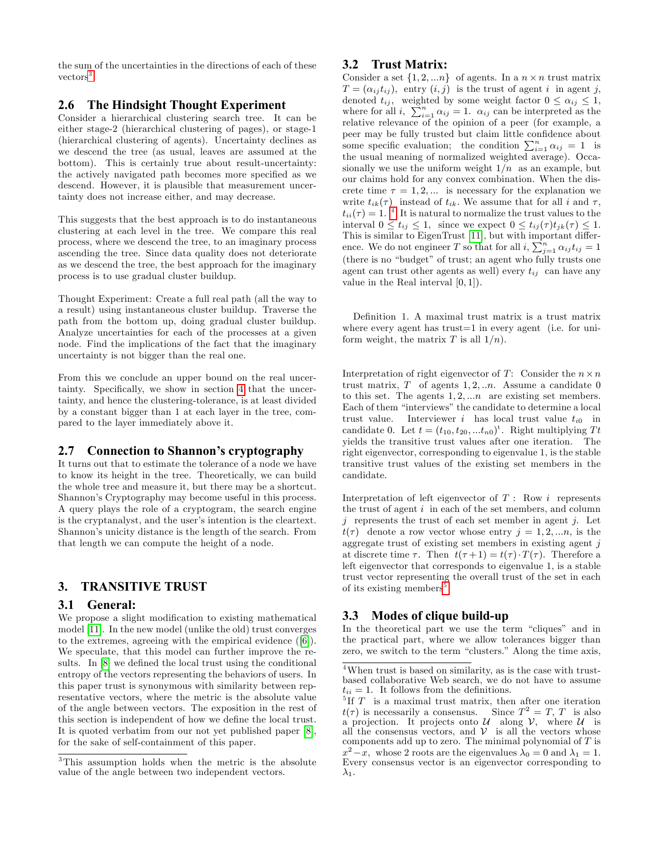the sum of the uncertainties in the directions of each of these  $vectors<sup>3</sup>$  $vectors<sup>3</sup>$  $vectors<sup>3</sup>$ .

## <span id="page-2-4"></span>2.6 The Hindsight Thought Experiment

Consider a hierarchical clustering search tree. It can be either stage-2 (hierarchical clustering of pages), or stage-1 (hierarchical clustering of agents). Uncertainty declines as we descend the tree (as usual, leaves are assumed at the bottom). This is certainly true about result-uncertainty: the actively navigated path becomes more specified as we descend. However, it is plausible that measurement uncertainty does not increase either, and may decrease.

This suggests that the best approach is to do instantaneous clustering at each level in the tree. We compare this real process, where we descend the tree, to an imaginary process ascending the tree. Since data quality does not deteriorate as we descend the tree, the best approach for the imaginary process is to use gradual cluster buildup.

Thought Experiment: Create a full real path (all the way to a result) using instantaneous cluster buildup. Traverse the path from the bottom up, doing gradual cluster buildup. Analyze uncertainties for each of the processes at a given node. Find the implications of the fact that the imaginary uncertainty is not bigger than the real one.

From this we conclude an upper bound on the real uncer-tainty. Specifically, we show in section [4](#page-3-0) that the uncertainty, and hence the clustering-tolerance, is at least divided by a constant bigger than 1 at each layer in the tree, compared to the layer immediately above it.

# 2.7 Connection to Shannon's cryptography

It turns out that to estimate the tolerance of a node we have to know its height in the tree. Theoretically, we can build the whole tree and measure it, but there may be a shortcut. Shannon's Cryptography may become useful in this process. A query plays the role of a cryptogram, the search engine is the cryptanalyst, and the user's intention is the cleartext. Shannon's unicity distance is the length of the search. From that length we can compute the height of a node.

# <span id="page-2-0"></span>3. TRANSITIVE TRUST

# 3.1 General:

We propose a slight modification to existing mathematical model [\[11\]](#page-5-0). In the new model (unlike the old) trust converges to the extremes, agreeing with the empirical evidence ([\[6\]](#page-4-3)). We speculate, that this model can further improve the results. In  $[8]$  we defined the local trust using the conditional entropy of the vectors representing the behaviors of users. In this paper trust is synonymous with similarity between representative vectors, where the metric is the absolute value of the angle between vectors. The exposition in the rest of this section is independent of how we define the local trust. It is quoted verbatim from our not yet published paper [\[8\]](#page-4-1), for the sake of self-containment of this paper.

# 3.2 Trust Matrix:

Consider a set  $\{1, 2, \ldots n\}$  of agents. In a  $n \times n$  trust matrix  $T = (\alpha_{ij} t_{ij})$ , entry  $(i, j)$  is the trust of agent i in agent j, denoted  $t_{ij}$ , weighted by some weight factor  $0 \leq \alpha_{ij} \leq 1$ , where for all *i*,  $\sum_{i=1}^{n} \alpha_{ij} = 1$ .  $\alpha_{ij}$  can be interpreted as the relative relevance of the opinion of a peer (for example, a peer may be fully trusted but claim little confidence about some specific evaluation; the condition  $\sum_{i=1}^{n} \alpha_{ij} = 1$  is the usual meaning of normalized weighted average). Occasionally we use the uniform weight  $1/n$  as an example, but our claims hold for any convex combination. When the discrete time  $\tau = 1, 2, \dots$  is necessary for the explanation we write  $t_{ik}(\tau)$  instead of  $t_{ik}$ . We assume that for all i and  $\tau$ ,  $t_{ii}(\tau) = 1$ .<sup>[4](#page-2-2)</sup> It is natural to normalize the trust values to the interval  $0 \leq t_{ij} \leq 1$ , since we expect  $0 \leq t_{ij}(\tau) t_{jk}(\tau) \leq 1$ . This is similar to EigenTrust [\[11\]](#page-5-0), but with important difference. We do not engineer T so that for all  $i, \sum_{j=1}^{n} \alpha_{ij} t_{ij} = 1$ (there is no "budget" of trust; an agent who fully trusts one agent can trust other agents as well) every  $t_{ij}$  can have any value in the Real interval  $[0, 1]$ .

DeÖnition 1. A maximal trust matrix is a trust matrix where every agent has trust=1 in every agent (i.e. for uniform weight, the matrix T is all  $1/n$ .

Interpretation of right eigenvector of T: Consider the  $n \times n$ trust matrix,  $T$  of agents 1, 2, ...  $n$ . Assume a candidate 0 to this set. The agents  $1, 2, \ldots n$  are existing set members. Each of them "interviews" the candidate to determine a local trust value. Interviewer i has local trust value  $t_{i0}$  in candidate 0. Let  $t = (t_{10}, t_{20}, ... t_{n0})^t$ . Right multiplying Tt yields the transitive trust values after one iteration. The right eigenvector, corresponding to eigenvalue 1, is the stable transitive trust values of the existing set members in the candidate.

Interpretation of left eigenvector of  $T:$  Row i represents the trust of agent  $i$  in each of the set members, and column  $j$  represents the trust of each set member in agent  $j$ . Let  $t(\tau)$  denote a row vector whose entry  $j = 1, 2, \ldots n$ , is the aggregate trust of existing set members in existing agent j at discrete time  $\tau$ . Then  $t(\tau+1) = t(\tau) \cdot T(\tau)$ . Therefore a left eigenvector that corresponds to eigenvalue 1, is a stable trust vector representing the overall trust of the set in each of its existing members<sup>[5](#page-2-3)</sup>.

# 3.3 Modes of clique build-up

In the theoretical part we use the term "cliques" and in the practical part, where we allow tolerances bigger than zero, we switch to the term "clusters." Along the time axis,

<span id="page-2-1"></span><sup>3</sup>This assumption holds when the metric is the absolute value of the angle between two independent vectors.

<span id="page-2-2"></span><sup>4</sup>When trust is based on similarity, as is the case with trustbased collaborative Web search, we do not have to assume  $t_{ii} = 1$ . It follows from the definitions.

<span id="page-2-3"></span><sup>&</sup>lt;sup>5</sup>If  $T$  is a maximal trust matrix, then after one iteration  $t(\tau)$  is necessarily a consensus. Since  $T^2 = T$ , T is also a projection. It projects onto  $\mathcal{U}$  along  $\mathcal{V}$ , where  $\mathcal{U}$  is all the consensus vectors, and  $V$  is all the vectors whose components add up to zero. The minimal polynomial of  $T$  is x  $2^2-x$ , whose 2 roots are the eigenvalues  $\lambda_0 = 0$  and  $\lambda_1 = 1$ . Every consensus vector is an eigenvector corresponding to  $\lambda_1$ .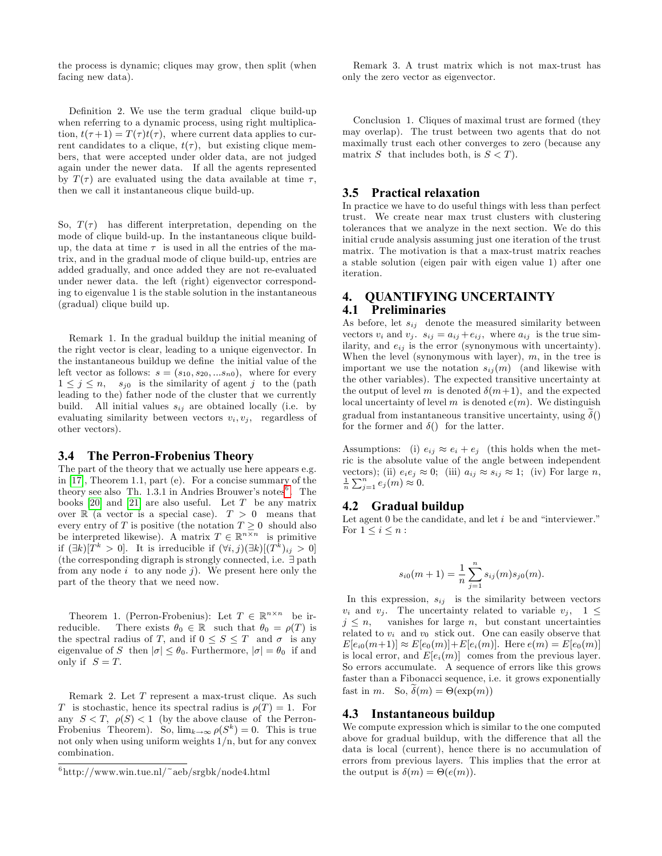the process is dynamic; cliques may grow, then split (when facing new data).

Definition 2. We use the term gradual clique build-up when referring to a dynamic process, using right multiplication,  $t(\tau+1) = T(\tau)t(\tau)$ , where current data applies to current candidates to a clique,  $t(\tau)$ , but existing clique members, that were accepted under older data, are not judged again under the newer data. If all the agents represented by  $T(\tau)$  are evaluated using the data available at time  $\tau$ , then we call it instantaneous clique build-up.

So,  $T(\tau)$  has different interpretation, depending on the mode of clique build-up. In the instantaneous clique buildup, the data at time  $\tau$  is used in all the entries of the matrix, and in the gradual mode of clique build-up, entries are added gradually, and once added they are not re-evaluated under newer data. the left (right) eigenvector corresponding to eigenvalue 1 is the stable solution in the instantaneous (gradual) clique build up.

Remark 1. In the gradual buildup the initial meaning of the right vector is clear, leading to a unique eigenvector. In the instantaneous buildup we define the initial value of the left vector as follows:  $s = (s_{10}, s_{20}, ... s_{n0})$ , where for every  $1 \leq j \leq n$ ,  $s_{j0}$  is the similarity of agent j to the (path leading to the) father node of the cluster that we currently build. All initial values  $s_{ij}$  are obtained locally (i.e. by evaluating similarity between vectors  $v_i, v_j$ , regardless of other vectors).

#### 3.4 The Perron-Frobenius Theory

The part of the theory that we actually use here appears e.g. in [\[17\]](#page-5-5), Theorem 1.1, part (e). For a concise summary of the theory see also Th. 1.3.1 in Andries Brouwer's notes<sup>[6](#page-3-1)</sup>. The books  $[20]$  and  $[21]$  are also useful. Let T be any matrix over  $\mathbb R$  (a vector is a special case).  $T > 0$  means that every entry of T is positive (the notation  $T \geq 0$  should also be interpreted likewise). A matrix  $T \in \mathbb{R}^{n \times n}$  is primitive if  $(\exists k)[T^k > 0]$ . It is irreducible if  $(\forall i, j)(\exists k)[(T^k)_{ij} > 0]$ (the corresponding digraph is strongly connected, i.e.  $\exists$  path from any node  $i$  to any node  $j$ ). We present here only the part of the theory that we need now.

Theorem 1. (Perron-Frobenius): Let  $T \in \mathbb{R}^{n \times n}$  be irreducible. There exists  $\theta_0 \in \mathbb{R}$  such that  $\theta_0 = \rho(T)$  is the spectral radius of T, and if  $0 \leq S \leq T$  and  $\sigma$  is any eigenvalue of S then  $|\sigma| \leq \theta_0$ . Furthermore,  $|\sigma| = \theta_0$  if and only if  $S = T$ .

Remark 2. Let T represent a max-trust clique. As such T is stochastic, hence its spectral radius is  $\rho(T) = 1$ . For any  $S < T$ ,  $\rho(S) < 1$  (by the above clause of the Perron-Frobenius Theorem). So,  $\lim_{k \to \infty} \rho(S^k) = 0$ . This is true not only when using uniform weights 1/n, but for any convex combination.

Remark 3. A trust matrix which is not max-trust has only the zero vector as eigenvector.

Conclusion 1. Cliques of maximal trust are formed (they may overlap). The trust between two agents that do not maximally trust each other converges to zero (because any matrix S that includes both, is  $S < T$ ).

#### 3.5 Practical relaxation

In practice we have to do useful things with less than perfect trust. We create near max trust clusters with clustering tolerances that we analyze in the next section. We do this initial crude analysis assuming just one iteration of the trust matrix. The motivation is that a max-trust matrix reaches a stable solution (eigen pair with eigen value 1) after one iteration.

# <span id="page-3-0"></span>4. QUANTIFYING UNCERTAINTY 4.1 Preliminaries

As before, let  $s_{ij}$  denote the measured similarity between vectors  $v_i$  and  $v_j$ .  $s_{ij} = a_{ij} + e_{ij}$ , where  $a_{ij}$  is the true similarity, and  $e_{ij}$  is the error (synonymous with uncertainty). When the level (synonymous with layer),  $m$ , in the tree is important we use the notation  $s_{ij}(m)$  (and likewise with the other variables). The expected transitive uncertainty at the output of level m is denoted  $\delta(m+1)$ , and the expected local uncertainty of level m is denoted  $e(m)$ . We distinguish gradual from instantaneous transitive uncertainty, using  $\tilde{\delta}()$ for the former and  $\delta()$  for the latter.

Assumptions: (i)  $e_{ij} \approx e_i + e_j$  (this holds when the metric is the absolute value of the angle between independent vectors); (ii)  $e_i e_j \approx 0$ ; (iii)  $a_{ij} \approx s_{ij} \approx 1$ ; (iv) For large n,  $\frac{1}{n}\sum_{j=1}^n e_j(m) \approx 0.$ 

#### 4.2 Gradual buildup

Let agent 0 be the candidate, and let  $i$  be and "interviewer." For  $1 \leq i \leq n$ :

$$
s_{i0}(m+1) = \frac{1}{n} \sum_{j=1}^{n} s_{ij}(m) s_{j0}(m).
$$

In this expression,  $s_{ij}$  is the similarity between vectors  $v_i$  and  $v_j$ . The uncertainty related to variable  $v_j$ ,  $1 \leq$  $j \leq n$ , vanishes for large n, but constant uncertainties related to  $v_i$  and  $v_0$  stick out. One can easily observe that  $E[e_{i0}(m+1)] \approx E[e_0(m)] + E[e_i(m)]$ . Here  $e(m) = E[e_0(m)]$ is local error, and  $E[e_i(m)]$  comes from the previous layer. So errors accumulate. A sequence of errors like this grows faster than a Fibonacci sequence, i.e. it grows exponentially fast in *m*. So,  $\delta(m) = \Theta(\exp(m))$ 

#### <span id="page-3-2"></span>4.3 Instantaneous buildup

We compute expression which is similar to the one computed above for gradual buildup, with the difference that all the data is local (current), hence there is no accumulation of errors from previous layers. This implies that the error at the output is  $\delta(m) = \Theta(e(m)).$ 

<span id="page-3-1"></span><sup>6</sup> http://www.win.tue.nl/~aeb/srgbk/node4.html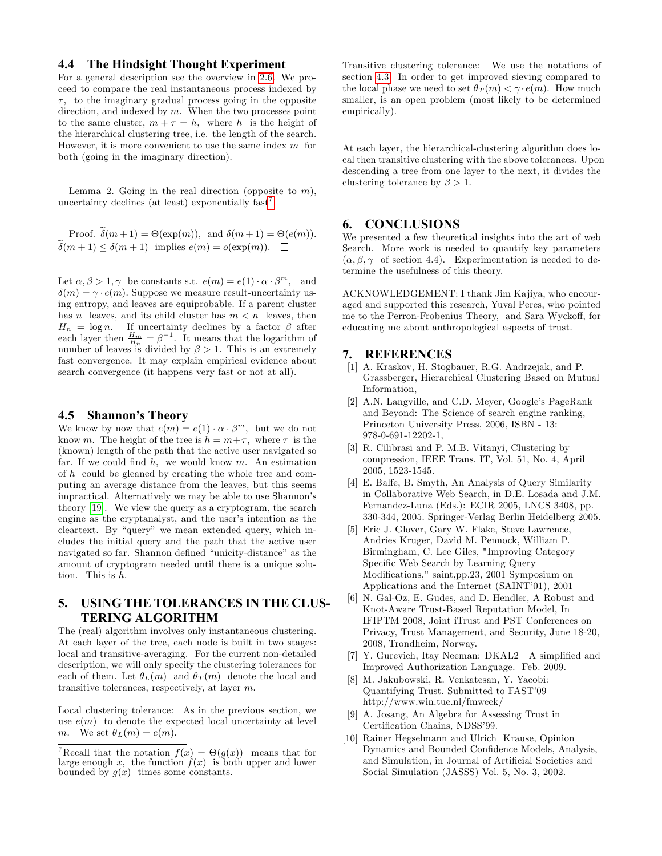# <span id="page-4-5"></span>4.4 The Hindsight Thought Experiment

For a general description see the overview in [2.6.](#page-2-4) We proceed to compare the real instantaneous process indexed by  $\tau$ , to the imaginary gradual process going in the opposite direction, and indexed by  $m$ . When the two processes point to the same cluster,  $m + \tau = h$ , where h is the height of the hierarchical clustering tree, i.e. the length of the search. However, it is more convenient to use the same index  $m$  for both (going in the imaginary direction).

Lemma 2. Going in the real direction (opposite to  $m$ ), uncertainty declines (at least) exponentially  $\text{fast}^7$  $\text{fast}^7$ .

Proof.  $\delta(m+1) = \Theta(\exp(m))$ , and  $\delta(m+1) = \Theta(e(m))$ .  $\widetilde{\delta}(m + 1) \leq \delta(m + 1)$  implies  $e(m) = o(\exp(m)).$ 

Let  $\alpha, \beta > 1, \gamma$  be constants s.t.  $e(m) = e(1) \cdot \alpha \cdot \beta^m$ , and  $\delta(m) = \gamma \cdot e(m)$ . Suppose we measure result-uncertainty using entropy, and leaves are equiprobable. If a parent cluster has n leaves, and its child cluster has  $m < n$  leaves, then  $H_n = \log n$ . If uncertainty declines by a factor  $\beta$  after each layer then  $\frac{H_m}{H_n} = \beta^{-1}$ . It means that the logarithm of number of leaves is divided by  $\beta > 1$ . This is an extremely fast convergence. It may explain empirical evidence about search convergence (it happens very fast or not at all).

#### 4.5 Shannon's Theory

We know by now that  $e(m) = e(1) \cdot \alpha \cdot \beta^m$ , but we do not know m. The height of the tree is  $h = m + \tau$ , where  $\tau$  is the (known) length of the path that the active user navigated so far. If we could find  $h$ , we would know  $m$ . An estimation of h could be gleaned by creating the whole tree and computing an average distance from the leaves, but this seems impractical. Alternatively we may be able to use Shannon's theory [\[19\]](#page-5-4). We view the query as a cryptogram, the search engine as the cryptanalyst, and the user's intention as the cleartext. By "query" we mean extended query, which includes the initial query and the path that the active user navigated so far. Shannon defined "unicity-distance" as the amount of cryptogram needed until there is a unique solution. This is  $h$ .

# 5. USING THE TOLERANCES IN THE CLUS-TERING ALGORITHM

The (real) algorithm involves only instantaneous clustering. At each layer of the tree, each node is built in two stages: local and transitive-averaging. For the current non-detailed description, we will only specify the clustering tolerances for each of them. Let  $\theta_L(m)$  and  $\theta_T(m)$  denote the local and transitive tolerances, respectively, at layer  $m$ .

Local clustering tolerance: As in the previous section, we use  $e(m)$  to denote the expected local uncertainty at level m. We set  $\theta_L(m) = e(m)$ .

Transitive clustering tolerance: We use the notations of section [4.3.](#page-3-2) In order to get improved sieving compared to the local phase we need to set  $\theta_T(m) < \gamma \cdot e(m)$ . How much smaller, is an open problem (most likely to be determined empirically).

At each layer, the hierarchical-clustering algorithm does local then transitive clustering with the above tolerances. Upon descending a tree from one layer to the next, it divides the clustering tolerance by  $\beta > 1$ .

# 6. CONCLUSIONS

We presented a few theoretical insights into the art of web Search. More work is needed to quantify key parameters  $(\alpha, \beta, \gamma)$  of section 4.4). Experimentation is needed to determine the usefulness of this theory.

ACKNOWLEDGEMENT: I thank Jim Kajiya, who encouraged and supported this research, Yuval Peres, who pointed me to the Perron-Frobenius Theory, and Sara Wyckoff, for educating me about anthropological aspects of trust.

#### 7. REFERENCES

- [1] A. Kraskov, H. Stogbauer, R.G. Andrzejak, and P. Grassberger, Hierarchical Clustering Based on Mutual Information,
- <span id="page-4-0"></span>[2] A.N. Langville, and C.D. Meyer, Google's PageRank and Beyond: The Science of search engine ranking, Princeton University Press, 2006, ISBN - 13: 978-0-691-12202-1,
- <span id="page-4-2"></span>[3] R. Cilibrasi and P. M.B. Vitanyi, Clustering by compression, IEEE Trans. IT, Vol. 51, No. 4, April 2005, 1523-1545.
- [4] E. Balfe, B. Smyth, An Analysis of Query Similarity in Collaborative Web Search, in D.E. Losada and J.M. Fernandez-Luna (Eds.): ECIR 2005, LNCS 3408, pp. 330-344, 2005. Springer-Verlag Berlin Heidelberg 2005.
- [5] Eric J. Glover, Gary W. Flake, Steve Lawrence, Andries Kruger, David M. Pennock, William P. Birmingham, C. Lee Giles, "Improving Category Specific Web Search by Learning Query Modifications," saint,pp.23, 2001 Symposium on Applications and the Internet (SAINT'01), 2001
- <span id="page-4-3"></span>[6] N. Gal-Oz, E. Gudes, and D. Hendler, A Robust and Knot-Aware Trust-Based Reputation Model, In IFIPTM 2008, Joint iTrust and PST Conferences on Privacy, Trust Management, and Security, June 18-20, 2008, Trondheim, Norway.
- [7] Y. Gurevich, Itay Neeman: DKAL2 $-A$  simplified and Improved Authorization Language. Feb. 2009.
- <span id="page-4-1"></span>[8] M. Jakubowski, R. Venkatesan, Y. Yacobi: Quantifying Trust. Submitted to FAST'09 http://www.win.tue.nl/fmweek/
- <span id="page-4-4"></span>[9] A. Josang, An Algebra for Assessing Trust in Certification Chains, NDSS'99.
- [10] Rainer Hegselmann and Ulrich Krause, Opinion Dynamics and Bounded Confidence Models, Analysis, and Simulation, in Journal of Artificial Societies and Social Simulation (JASSS) Vol. 5, No. 3, 2002.

<span id="page-4-6"></span><sup>&</sup>lt;sup>7</sup>Recall that the notation  $f(x) = \Theta(g(x))$  means that for large enough x, the function  $\hat{f}(x)$  is both upper and lower bounded by  $g(x)$  times some constants.